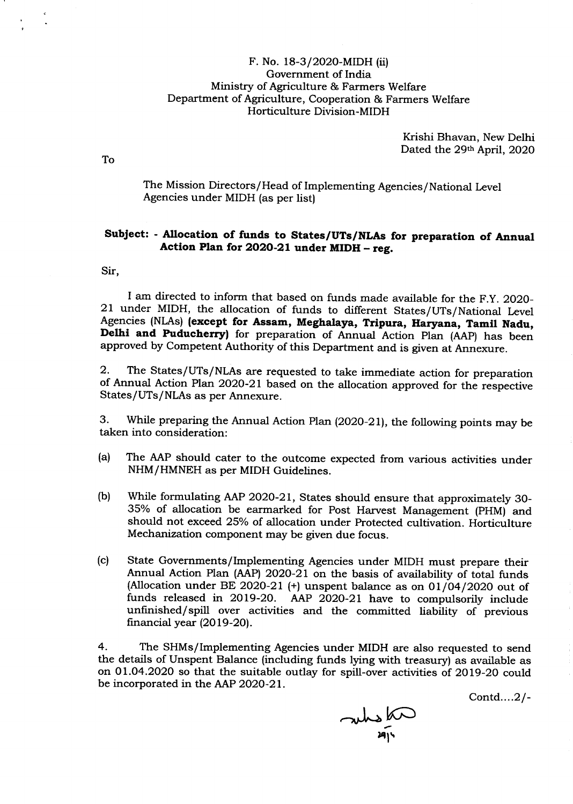## F. No. 18-3/2020-MIDH (ii) Government of lndia Ministry of Agriculture & Farmers Welfare Department of Agriculture, Cooperation & Farmers Welfare Horticulture Division-MIDH

Krishi Bhavan, New Delhi Dated the 29th April, 2020

The Mission Directors/Head of Implementing Agencies/National Level Agencies under MIDH (as per list)

## SubJect: - Nlocation of funds to States/UTs/NLAs for preparation of Annual Action Plan for 2020-21 under MIDH - reg.

Sir,

I am directed to inform that based on funds made available for the F.Y. 2020-<br>21 under MIDH, the allocation of funds to different States/UTs/National Level<br>Agencies (NLAs) (except for Assam, Meghalaya, Tripura, Haryana, Ta Delhi and Puducherry) for preparation of Annual Action Plan (AAP) has been approved by Competent Authority of this Department and is given at Annexure.

2.- The States/UTs/NLAs are requested to take immediate action for preparation of Annual Action Plan 2O2O-21 based on the allocation approved for the respective States/UTs/NLAs as per Annexure.

3. While preparing the Annual Action Plan (2O2O-21), the following points may be taken into consideration:

- (a) The AAP should cater to the outcome expected from various activities under NHM/HMNEH as per MIDH Guidelines.
- (b) While formulating AAP 2O2O-21, States should ensure that approximately 30- 35% of allocation be earmarked for Post Harvest Management (pHM) and should not exceed 25% of allocation under Protected cultivation. Horticulture Mechanization component may be given due focus.
- (c) State Governments/Implementing Agencies under MIDH must prepare their Annual Action Plan (AAP) 2O2O-21 on the basis of availability of total funds (Allocation under BE 2020-21 (+) unspent balance as on  $01/04/2020$  out of funds released in 2019-20. AAP 2020-21 have to compulsorily include unfinished/spill over activities and the committed liability of previous financial year  $(2019-20)$ .

4. The SHMs/Implementing Agencies under MIDH are also requested to send the details of Unspent Balance (including funds lying with treasury) as available as on 01.O4.2O2O so that the suitable outlay for spill-over activities of 2Ol9-2O could be incorporated in the AAP 2o2o-21.

contd,....2/\_

and in بر<br>يو

To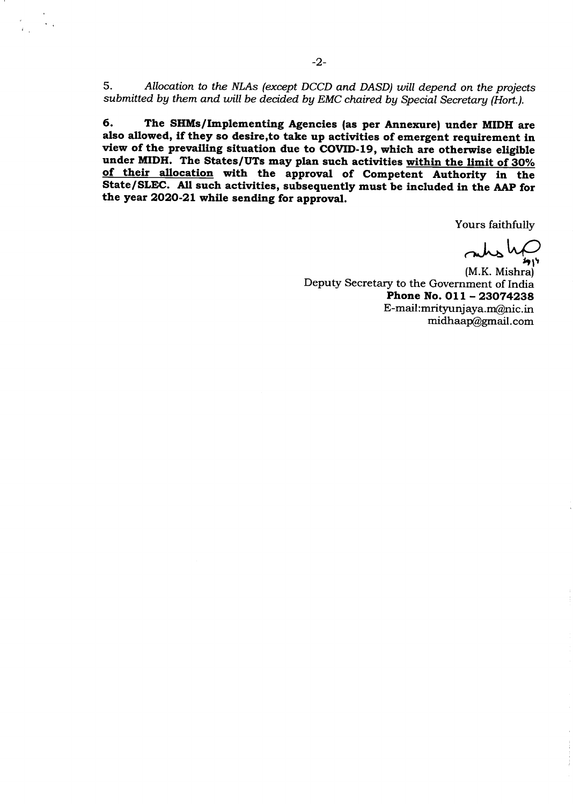5. Allocation to the NLAs (except DCCD and DASD) will depend on the projects submitted by them and will be decided by EMC chaired by Special Secretary (Hort.).

6. The SHMs/Implementing Agencies (as per Annexure) under MIDH are also allowed, if they so desire, to take up activities of emergent requirement in view of the prevailing situation due to COVID-19, which are otherwise eligible under MIDH. The States/UTs may plan such activities within the limit of 30% of their allocation with the approval of Competent Authority in the State/SLEC. All such activities, subsequently must be included in the AAp for the year 2O2O-2L while sending for approval.

Yours faithfully

 $m/s$  lapson

Deputy Secretary to the Government of India Phone No.  $011 - 23074238$ E-mail:mrityunjaya.m@nic.in midhaa@gmail.com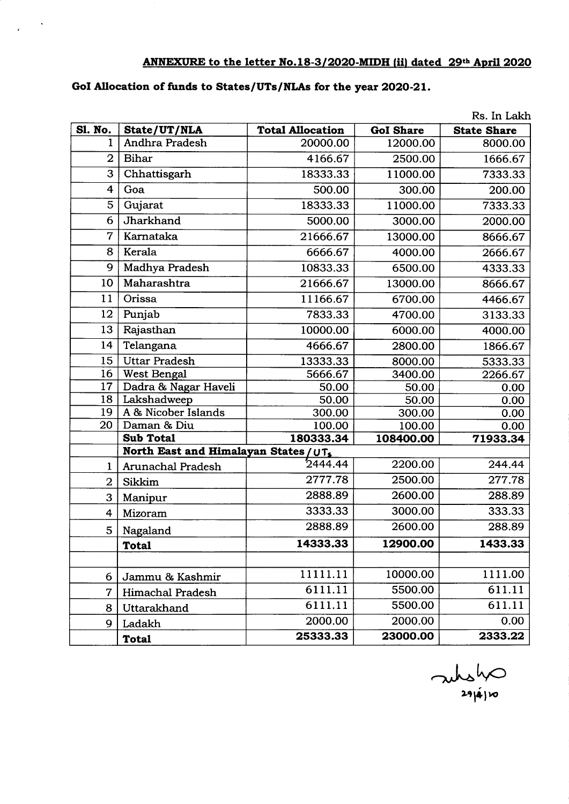## ANNEXURE to the letter No.18-3/2020-MIDH (ii) dated 29th April 2020

## GoI Allocation of funds to States/UTs/NLAs for the year 2020-21.

|                |                                       |                         |                  | Rs. In Lakh        |  |  |
|----------------|---------------------------------------|-------------------------|------------------|--------------------|--|--|
| Sl. No.        | State/UT/NLA                          | <b>Total Allocation</b> | <b>GoI Share</b> | <b>State Share</b> |  |  |
| 1              | Andhra Pradesh                        | 20000.00                | 12000.00         | 8000.00            |  |  |
| $\overline{2}$ | Bihar                                 | 4166.67                 | 2500.00          | 1666.67            |  |  |
| 3              | Chhattisgarh                          | 18333.33                | 11000.00         | 7333.33            |  |  |
| 4              | Goa                                   | 500.00                  | 300.00           | 200.00             |  |  |
| 5              | Gujarat                               | 18333.33                | 11000.00         | 7333.33            |  |  |
| 6              | Jharkhand                             | 5000.00                 | 3000.00          | 2000.00            |  |  |
| $\overline{7}$ | Karnataka                             | 21666.67                | 13000.00         | 8666.67            |  |  |
| 8              | Kerala                                | 6666.67                 | 4000.00          | 2666.67            |  |  |
| 9              | Madhya Pradesh                        | 10833.33                | 6500.00          | 4333.33            |  |  |
| 10             | Maharashtra                           | 21666.67                | 13000.00         | 8666.67            |  |  |
| 11             | Orissa                                | 11166.67                | 6700.00          | 4466.67            |  |  |
| 12             | Punjab                                | 7833.33                 | 4700.00          | 3133.33            |  |  |
| 13             | Rajasthan                             | 10000.00                | 6000.00          | 4000.00            |  |  |
| 14             | Telangana                             | 4666.67                 | 2800.00          | 1866.67            |  |  |
| 15             | <b>Uttar Pradesh</b>                  | 13333.33                | 8000.00          | 5333.33            |  |  |
| 16             | West Bengal                           | 5666.67                 | 3400.00          | 2266.67            |  |  |
| 17             | Dadra & Nagar Haveli                  | 50.00                   | 50.00            | 0.00               |  |  |
| 18             | Lakshadweep                           | 50.00                   | 50.00            | 0.00               |  |  |
| 19             | A & Nicober Islands                   | 300.00                  | 300.00           | 0.00               |  |  |
| 20             | Daman & Diu                           | 100.00                  | 100.00           | 0.00               |  |  |
|                | <b>Sub Total</b>                      | 180333.34               | 108400.00        | 71933.34           |  |  |
|                | North East and Himalayan States / UT, |                         |                  |                    |  |  |
| 1              | Arunachal Pradesh                     | 2444.44                 | 2200.00          | 244.44             |  |  |
| $\overline{2}$ | Sikkim                                | 2777.78                 | 2500.00          | 277.78             |  |  |
| 3              | Manipur                               | 2888.89                 | 2600.00          | 288.89             |  |  |
| 4              | Mizoram                               | 3333.33                 | 3000.00          | 333.33             |  |  |
| 5              | Nagaland                              | 2888.89                 | 2600.00          | 288.89             |  |  |
|                | <b>Total</b>                          | 14333.33                | 12900.00         | 1433.33            |  |  |
|                |                                       |                         |                  |                    |  |  |
| 6              | Jammu & Kashmir                       | 11111.11                | 10000.00         | 1111.00            |  |  |
| $\overline{7}$ | <b>Himachal Pradesh</b>               | 6111.11                 | 5500.00          | 611.11             |  |  |
| 8              | Uttarakhand                           | 6111.11                 | 5500.00          | 611.11             |  |  |
| 9              | Ladakh                                | 2000.00                 | 2000.00          | 0.00               |  |  |
|                | <b>Total</b>                          | 25333.33                | 23000.00         | 2333.22            |  |  |

 $\omega$  and  $\omega$